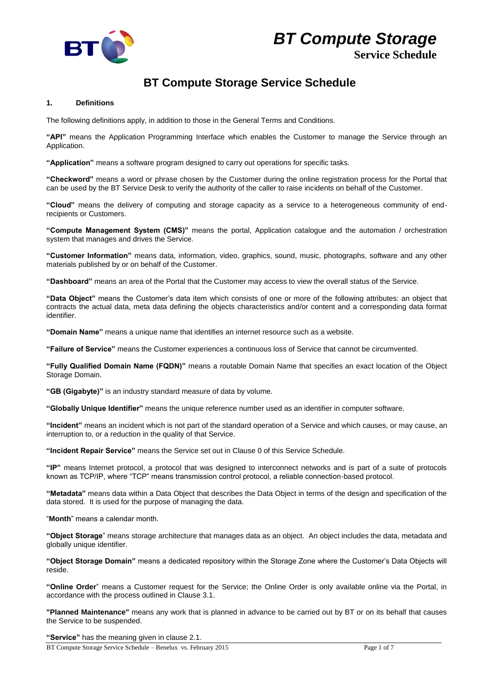



# **Service Schedule**

# **BT Compute Storage Service Schedule**

# **1. Definitions**

The following definitions apply, in addition to those in the General Terms and Conditions.

**"API"** means the Application Programming Interface which enables the Customer to manage the Service through an Application.

**"Application"** means a software program designed to carry out operations for specific tasks.

**"Checkword"** means a word or phrase chosen by the Customer during the online registration process for the Portal that can be used by the BT Service Desk to verify the authority of the caller to raise incidents on behalf of the Customer.

**"Cloud"** means the delivery of computing and storage capacity as a service to a heterogeneous community of endrecipients or Customers.

**"Compute Management System (CMS)"** means the portal, Application catalogue and the automation / orchestration system that manages and drives the Service.

**"Customer Information"** means data, information, video, graphics, sound, music, photographs, software and any other materials published by or on behalf of the Customer.

**"Dashboard"** means an area of the Portal that the Customer may access to view the overall status of the Service.

**"Data Object"** means the Customer's data item which consists of one or more of the following attributes: an object that contracts the actual data, meta data defining the objects characteristics and/or content and a corresponding data format identifier.

**"Domain Name"** means a unique name that identifies an internet resource such as a website.

**"Failure of Service"** means the Customer experiences a continuous loss of Service that cannot be circumvented.

**"Fully Qualified Domain Name (FQDN)"** means a routable Domain Name that specifies an exact location of the Object Storage Domain.

**"GB (Gigabyte)"** is an industry standard measure of data by volume.

**"Globally Unique Identifier"** means the unique reference number used as an identifier in computer software.

**"Incident"** means an incident which is not part of the standard operation of a Service and which causes, or may cause, an interruption to, or a reduction in the quality of that Service.

**"Incident Repair Service"** means the Service set out in Clause [0](#page-2-0) of this Service Schedule.

**"IP"** means Internet protocol, a protocol that was designed to interconnect networks and is part of a suite of protocols known as TCP/IP, where "TCP" means transmission control protocol, a reliable connection-based protocol.

**"Metadata"** means data within a Data Object that describes the Data Object in terms of the design and specification of the data stored. It is used for the purpose of managing the data.

"**Month**" means a calendar month.

**"Object Storage**" means storage architecture that manages data as an object. An object includes the data, metadata and globally unique identifier.

**"Object Storage Domain"** means a dedicated repository within the Storage Zone where the Customer's Data Objects will reside.

**"Online Order**" means a Customer request for the Service; the Online Order is only available online via the Portal, in accordance with the process outlined in Clause [3.1.](#page-1-0)

**"Planned Maintenance"** means any work that is planned in advance to be carried out by BT or on its behalf that causes the Service to be suspended.

**"Service"** has the meaning given in clause 2.1.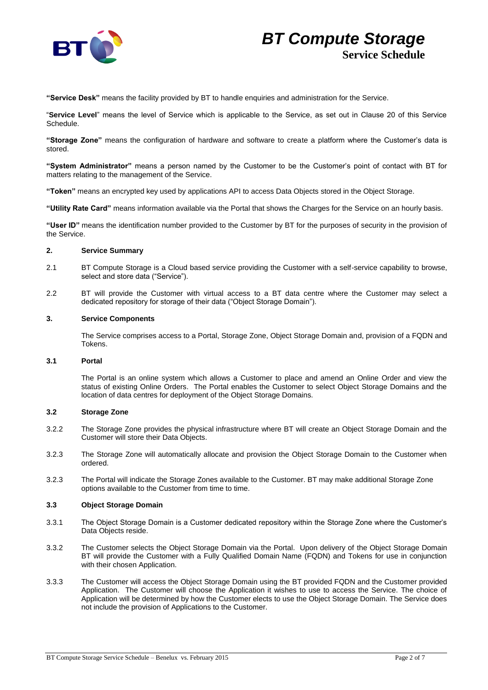

**"Service Desk"** means the facility provided by BT to handle enquiries and administration for the Service.

"**Service Level**" means the level of Service which is applicable to the Service, as set out in Clause 20 of this Service Schedule.

**"Storage Zone"** means the configuration of hardware and software to create a platform where the Customer's data is stored.

**"System Administrator"** means a person named by the Customer to be the Customer's point of contact with BT for matters relating to the management of the Service.

**"Token"** means an encrypted key used by applications API to access Data Objects stored in the Object Storage.

**"Utility Rate Card"** means information available via the Portal that shows the Charges for the Service on an hourly basis.

**"User ID"** means the identification number provided to the Customer by BT for the purposes of security in the provision of the Service.

# **2. Service Summary**

- 2.1 BT Compute Storage is a Cloud based service providing the Customer with a self-service capability to browse, select and store data ("Service").
- 2.2 BT will provide the Customer with virtual access to a BT data centre where the Customer may select a dedicated repository for storage of their data ("Object Storage Domain").

# **3. Service Components**

The Service comprises access to a Portal, Storage Zone, Object Storage Domain and, provision of a FQDN and Tokens.

#### <span id="page-1-0"></span>**3.1 Portal**

The Portal is an online system which allows a Customer to place and amend an Online Order and view the status of existing Online Orders. The Portal enables the Customer to select Object Storage Domains and the location of data centres for deployment of the Object Storage Domains.

# **3.2 Storage Zone**

- 3.2.2 The Storage Zone provides the physical infrastructure where BT will create an Object Storage Domain and the Customer will store their Data Objects.
- 3.2.3 The Storage Zone will automatically allocate and provision the Object Storage Domain to the Customer when ordered.
- 3.2.3 The Portal will indicate the Storage Zones available to the Customer. BT may make additional Storage Zone options available to the Customer from time to time.

#### **3.3 Object Storage Domain**

- 3.3.1 The Object Storage Domain is a Customer dedicated repository within the Storage Zone where the Customer's Data Objects reside.
- 3.3.2 The Customer selects the Object Storage Domain via the Portal. Upon delivery of the Object Storage Domain BT will provide the Customer with a Fully Qualified Domain Name (FQDN) and Tokens for use in conjunction with their chosen Application.
- 3.3.3 The Customer will access the Object Storage Domain using the BT provided FQDN and the Customer provided Application. The Customer will choose the Application it wishes to use to access the Service. The choice of Application will be determined by how the Customer elects to use the Object Storage Domain. The Service does not include the provision of Applications to the Customer.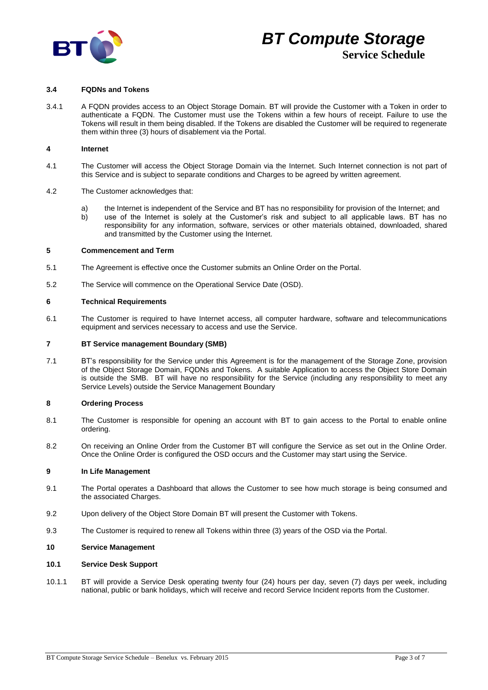

# **3.4 FQDNs and Tokens**

3.4.1 A FQDN provides access to an Object Storage Domain. BT will provide the Customer with a Token in order to authenticate a FQDN. The Customer must use the Tokens within a few hours of receipt. Failure to use the Tokens will result in them being disabled. If the Tokens are disabled the Customer will be required to regenerate them within three (3) hours of disablement via the Portal.

#### **4 Internet**

- 4.1 The Customer will access the Object Storage Domain via the Internet. Such Internet connection is not part of this Service and is subject to separate conditions and Charges to be agreed by written agreement.
- 4.2 The Customer acknowledges that:
	- a) the Internet is independent of the Service and BT has no responsibility for provision of the Internet; and b) use of the Internet is solely at the Customer's risk and subject to all applicable laws. BT has no responsibility for any information, software, services or other materials obtained, downloaded, shared

# **5 Commencement and Term**

5.1 The Agreement is effective once the Customer submits an Online Order on the Portal.

and transmitted by the Customer using the Internet.

5.2 The Service will commence on the Operational Service Date (OSD).

#### **6 Technical Requirements**

6.1 The Customer is required to have Internet access, all computer hardware, software and telecommunications equipment and services necessary to access and use the Service.

#### **7 BT Service management Boundary (SMB)**

7.1 BT's responsibility for the Service under this Agreement is for the management of the Storage Zone, provision of the Object Storage Domain, FQDNs and Tokens. A suitable Application to access the Object Store Domain is outside the SMB. BT will have no responsibility for the Service (including any responsibility to meet any Service Levels) outside the Service Management Boundary

#### **8 Ordering Process**

- 8.1 The Customer is responsible for opening an account with BT to gain access to the Portal to enable online ordering.
- 8.2 On receiving an Online Order from the Customer BT will configure the Service as set out in the Online Order. Once the Online Order is configured the OSD occurs and the Customer may start using the Service.

#### **9 In Life Management**

- 9.1 The Portal operates a Dashboard that allows the Customer to see how much storage is being consumed and the associated Charges.
- 9.2 Upon delivery of the Object Store Domain BT will present the Customer with Tokens.
- 9.3 The Customer is required to renew all Tokens within three (3) years of the OSD via the Portal.

#### **10 Service Management**

#### **10.1 Service Desk Support**

<span id="page-2-0"></span>10.1.1 BT will provide a Service Desk operating twenty four (24) hours per day, seven (7) days per week, including national, public or bank holidays, which will receive and record Service Incident reports from the Customer.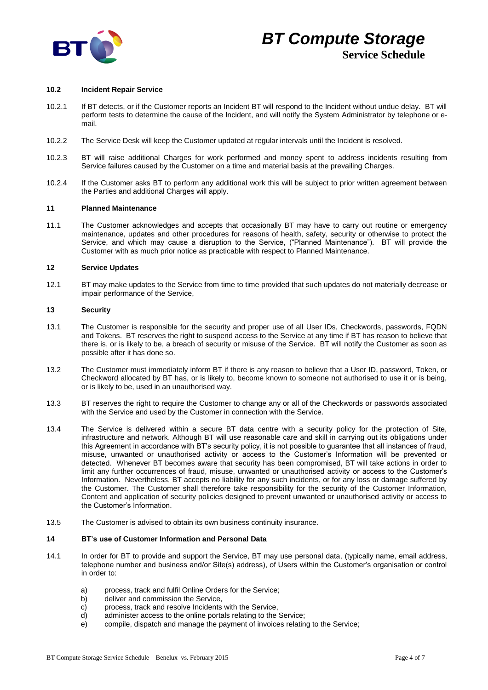

#### **10.2 Incident Repair Service**

- 10.2.1 If BT detects, or if the Customer reports an Incident BT will respond to the Incident without undue delay. BT will perform tests to determine the cause of the Incident, and will notify the System Administrator by telephone or email.
- 10.2.2 The Service Desk will keep the Customer updated at regular intervals until the Incident is resolved.
- 10.2.3 BT will raise additional Charges for work performed and money spent to address incidents resulting from Service failures caused by the Customer on a time and material basis at the prevailing Charges.
- 10.2.4 If the Customer asks BT to perform any additional work this will be subject to prior written agreement between the Parties and additional Charges will apply.

#### **11 Planned Maintenance**

11.1 The Customer acknowledges and accepts that occasionally BT may have to carry out routine or emergency maintenance, updates and other procedures for reasons of health, safety, security or otherwise to protect the Service, and which may cause a disruption to the Service, ("Planned Maintenance"). BT will provide the Customer with as much prior notice as practicable with respect to Planned Maintenance.

# **12 Service Updates**

12.1 BT may make updates to the Service from time to time provided that such updates do not materially decrease or impair performance of the Service,

#### **13 Security**

- 13.1 The Customer is responsible for the security and proper use of all User IDs, Checkwords, passwords, FQDN and Tokens. BT reserves the right to suspend access to the Service at any time if BT has reason to believe that there is, or is likely to be, a breach of security or misuse of the Service. BT will notify the Customer as soon as possible after it has done so.
- 13.2 The Customer must immediately inform BT if there is any reason to believe that a User ID, password, Token, or Checkword allocated by BT has, or is likely to, become known to someone not authorised to use it or is being, or is likely to be, used in an unauthorised way.
- 13.3 BT reserves the right to require the Customer to change any or all of the Checkwords or passwords associated with the Service and used by the Customer in connection with the Service.
- 13.4 The Service is delivered within a secure BT data centre with a security policy for the protection of Site, infrastructure and network. Although BT will use reasonable care and skill in carrying out its obligations under this Agreement in accordance with BT's security policy, it is not possible to guarantee that all instances of fraud, misuse, unwanted or unauthorised activity or access to the Customer's Information will be prevented or detected. Whenever BT becomes aware that security has been compromised, BT will take actions in order to limit any further occurrences of fraud, misuse, unwanted or unauthorised activity or access to the Customer's Information. Nevertheless, BT accepts no liability for any such incidents, or for any loss or damage suffered by the Customer. The Customer shall therefore take responsibility for the security of the Customer Information, Content and application of security policies designed to prevent unwanted or unauthorised activity or access to the Customer's Information.
- 13.5 The Customer is advised to obtain its own business continuity insurance.

## **14 BT's use of Customer Information and Personal Data**

- 14.1 In order for BT to provide and support the Service, BT may use personal data, (typically name, email address, telephone number and business and/or Site(s) address), of Users within the Customer's organisation or control in order to:
	- a) process, track and fulfil Online Orders for the Service;
	- b) deliver and commission the Service,
	- c) process, track and resolve Incidents with the Service,
	- d) administer access to the online portals relating to the Service;
	- e) compile, dispatch and manage the payment of invoices relating to the Service;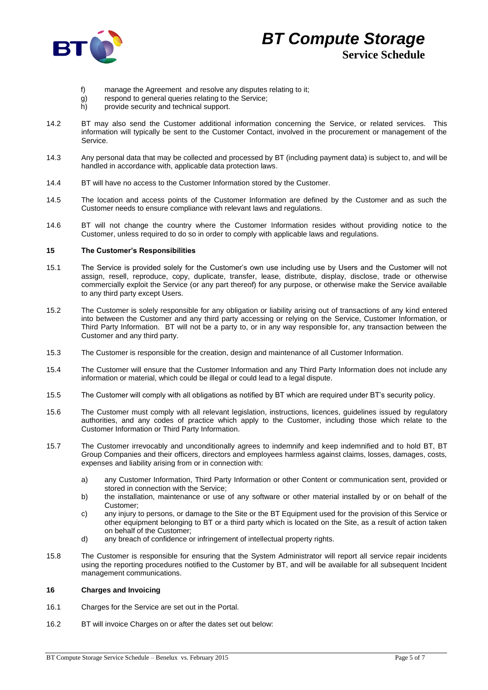

- f) manage the Agreement and resolve any disputes relating to it;
- g) respond to general queries relating to the Service;
- h) provide security and technical support.
- 14.2 BT may also send the Customer additional information concerning the Service, or related services. This information will typically be sent to the Customer Contact, involved in the procurement or management of the Service.
- 14.3 Any personal data that may be collected and processed by BT (including payment data) is subject to, and will be handled in accordance with, applicable data protection laws.
- 14.4 BT will have no access to the Customer Information stored by the Customer.
- 14.5 The location and access points of the Customer Information are defined by the Customer and as such the Customer needs to ensure compliance with relevant laws and regulations.
- 14.6 BT will not change the country where the Customer Information resides without providing notice to the Customer, unless required to do so in order to comply with applicable laws and regulations.

# <span id="page-4-0"></span>**15 The Customer's Responsibilities**

- 15.1 The Service is provided solely for the Customer's own use including use by Users and the Customer will not assign, resell, reproduce, copy, duplicate, transfer, lease, distribute, display, disclose, trade or otherwise commercially exploit the Service (or any part thereof) for any purpose, or otherwise make the Service available to any third party except Users.
- 15.2 The Customer is solely responsible for any obligation or liability arising out of transactions of any kind entered into between the Customer and any third party accessing or relying on the Service, Customer Information, or Third Party Information. BT will not be a party to, or in any way responsible for, any transaction between the Customer and any third party.
- 15.3 The Customer is responsible for the creation, design and maintenance of all Customer Information.
- 15.4 The Customer will ensure that the Customer Information and any Third Party Information does not include any information or material, which could be illegal or could lead to a legal dispute.
- 15.5 The Customer will comply with all obligations as notified by BT which are required under BT's security policy.
- 15.6 The Customer must comply with all relevant legislation, instructions, licences, guidelines issued by regulatory authorities, and any codes of practice which apply to the Customer, including those which relate to the Customer Information or Third Party Information.
- 15.7 The Customer irrevocably and unconditionally agrees to indemnify and keep indemnified and to hold BT, BT Group Companies and their officers, directors and employees harmless against claims, losses, damages, costs, expenses and liability arising from or in connection with:
	- a) any Customer Information, Third Party Information or other Content or communication sent, provided or stored in connection with the Service;
	- b) the installation, maintenance or use of any software or other material installed by or on behalf of the Customer;
	- c) any injury to persons, or damage to the Site or the BT Equipment used for the provision of this Service or other equipment belonging to BT or a third party which is located on the Site, as a result of action taken on behalf of the Customer;
	- d) any breach of confidence or infringement of intellectual property rights.
- 15.8 The Customer is responsible for ensuring that the System Administrator will report all service repair incidents using the reporting procedures notified to the Customer by BT, and will be available for all subsequent Incident management communications.

# **16 Charges and Invoicing**

- 16.1 Charges for the Service are set out in the Portal.
- 16.2 BT will invoice Charges on or after the dates set out below: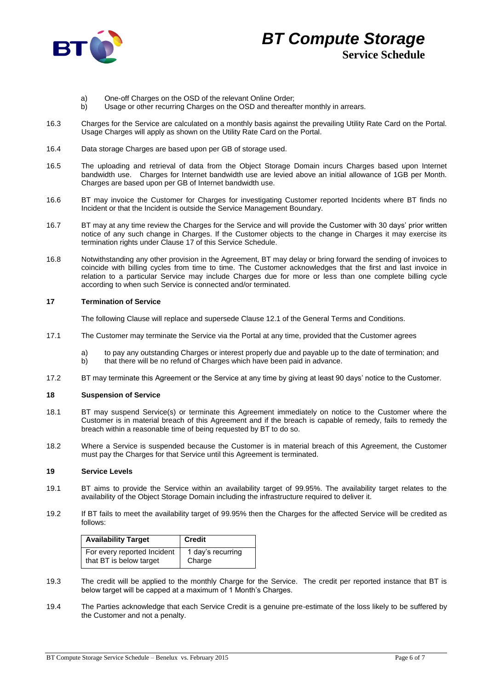

# *BT Compute Storage* **Service Schedule**

- a) One-off Charges on the OSD of the relevant Online Order;
- b) Usage or other recurring Charges on the OSD and thereafter monthly in arrears.
- 16.3 Charges for the Service are calculated on a monthly basis against the prevailing Utility Rate Card on the Portal. Usage Charges will apply as shown on the Utility Rate Card on the Portal.
- 16.4 Data storage Charges are based upon per GB of storage used.
- 16.5 The uploading and retrieval of data from the Object Storage Domain incurs Charges based upon Internet bandwidth use. Charges for Internet bandwidth use are levied above an initial allowance of 1GB per Month. Charges are based upon per GB of Internet bandwidth use.
- 16.6 BT may invoice the Customer for Charges for investigating Customer reported Incidents where BT finds no Incident or that the Incident is outside the Service Management Boundary.
- 16.7 BT may at any time review the Charges for the Service and will provide the Customer with 30 days' prior written notice of any such change in Charges. If the Customer objects to the change in Charges it may exercise its termination rights under Clause 17 of this Service Schedule.
- 16.8 Notwithstanding any other provision in the Agreement, BT may delay or bring forward the sending of invoices to coincide with billing cycles from time to time. The Customer acknowledges that the first and last invoice in relation to a particular Service may include Charges due for more or less than one complete billing cycle according to when such Service is connected and/or terminated.

# **17 Termination of Service**

The following Clause will replace and supersede Clause 12.1 of the General Terms and Conditions.

- 17.1 The Customer may terminate the Service via the Portal at any time, provided that the Customer agrees
	- a) to pay any outstanding Charges or interest properly due and payable up to the date of termination; and b) that there will be no refund of Charges which have been paid in advance.
- 17.2 BT may terminate this Agreement or the Service at any time by giving at least 90 days' notice to the Customer.

# **18 Suspension of Service**

- 18.1 BT may suspend Service(s) or terminate this Agreement immediately on notice to the Customer where the Customer is in material breach of this Agreement and if the breach is capable of remedy, fails to remedy the breach within a reasonable time of being requested by BT to do so.
- 18.2 Where a Service is suspended because the Customer is in material breach of this Agreement, the Customer must pay the Charges for that Service until this Agreement is terminated.

# **19 Service Levels**

- 19.1 BT aims to provide the Service within an availability target of 99.95%. The availability target relates to the availability of the Object Storage Domain including the infrastructure required to deliver it.
- 19.2 If BT fails to meet the availability target of 99.95% then the Charges for the affected Service will be credited as follows:

| <b>Availability Target</b>  | <b>Credit</b>     |
|-----------------------------|-------------------|
| For every reported Incident | 1 day's recurring |
| that BT is below target     | Charge            |

- 19.3 The credit will be applied to the monthly Charge for the Service. The credit per reported instance that BT is below target will be capped at a maximum of 1 Month's Charges.
- 19.4 The Parties acknowledge that each Service Credit is a genuine pre-estimate of the loss likely to be suffered by the Customer and not a penalty.